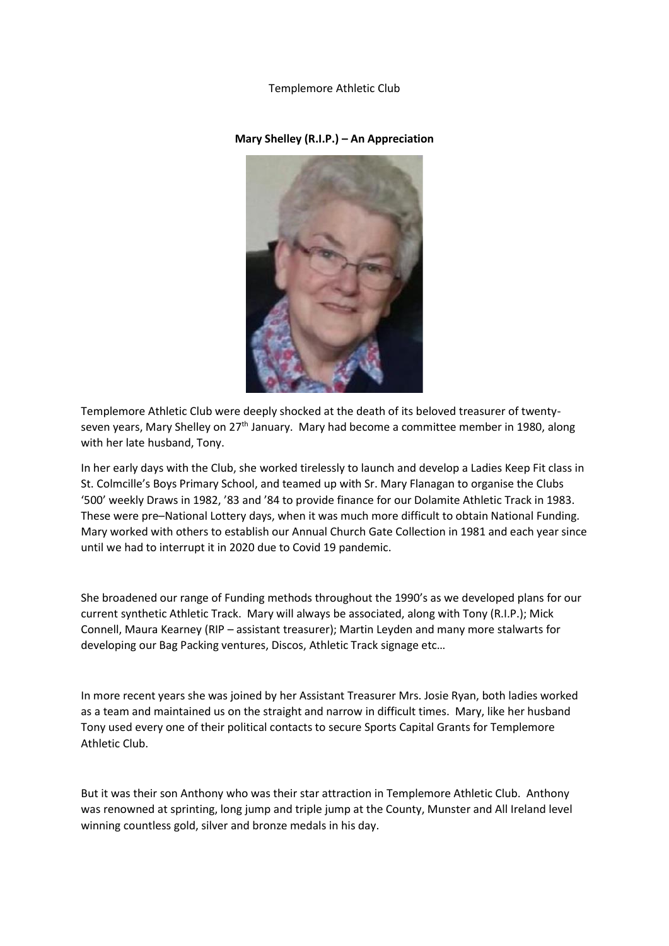## Templemore Athletic Club

## **Mary Shelley (R.I.P.) – An Appreciation**

Templemore Athletic Club were deeply shocked at the death of its beloved treasurer of twentyseven years, Mary Shelley on 27<sup>th</sup> January. Mary had become a committee member in 1980, along with her late husband, Tony.

In her early days with the Club, she worked tirelessly to launch and develop a Ladies Keep Fit class in St. Colmcille's Boys Primary School, and teamed up with Sr. Mary Flanagan to organise the Clubs '500' weekly Draws in 1982, '83 and '84 to provide finance for our Dolamite Athletic Track in 1983. These were pre–National Lottery days, when it was much more difficult to obtain National Funding. Mary worked with others to establish our Annual Church Gate Collection in 1981 and each year since until we had to interrupt it in 2020 due to Covid 19 pandemic.

She broadened our range of Funding methods throughout the 1990's as we developed plans for our current synthetic Athletic Track. Mary will always be associated, along with Tony (R.I.P.); Mick Connell, Maura Kearney (RIP – assistant treasurer); Martin Leyden and many more stalwarts for developing our Bag Packing ventures, Discos, Athletic Track signage etc…

In more recent years she was joined by her Assistant Treasurer Mrs. Josie Ryan, both ladies worked as a team and maintained us on the straight and narrow in difficult times. Mary, like her husband Tony used every one of their political contacts to secure Sports Capital Grants for Templemore Athletic Club.

But it was their son Anthony who was their star attraction in Templemore Athletic Club. Anthony was renowned at sprinting, long jump and triple jump at the County, Munster and All Ireland level winning countless gold, silver and bronze medals in his day.